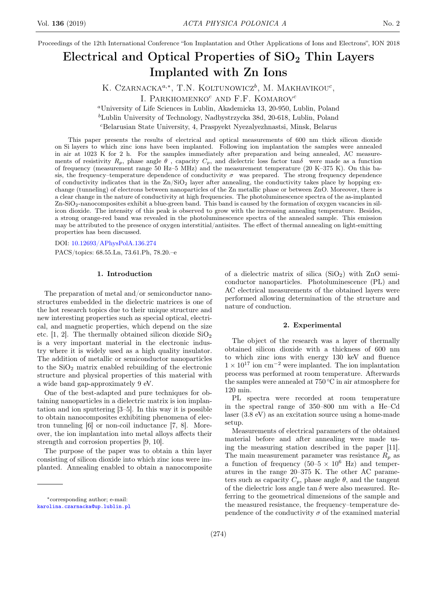Proceedings of the 12th International Conference "Ion Implantation and Other Applications of Ions and Electrons", ION 2018

# Electrical and Optical Properties of  $SiO<sub>2</sub>$  Thin Layers Implanted with Zn Ions

K. CZARNACKA<sup> $a,*$ </sup>, T.N. KOLTUNOWICZ<sup>b</sup>, M. MAKHAVIKOU<sup>c</sup>,

I. PARKHOMENKO<sup> $c$ </sup> AND F.F. KOMAROV<sup> $c$ </sup>

<sup>a</sup>University of Life Sciences in Lublin, Akademicka 13, 20-950, Lublin, Poland

<sup>b</sup>Lublin University of Technology, Nadbystrzycka 38d, 20-618, Lublin, Poland

<sup>c</sup>Belarusian State University, 4, Praspyekt Nyezalyezhnastsi, Minsk, Belarus

This paper presents the results of electrical and optical measurements of 600 nm thick silicon dioxide on Si layers to which zinc ions have been implanted. Following ion implantation the samples were annealed in air at 1023 K for 2 h. For the samples immediately after preparation and being annealed, AC measurements of resistivity  $R_p$ , phase angle  $\theta$ , capacity  $C_p$ , and dielectric loss factor tan $\delta$  were made as a function of frequency (measurement range 50 Hz–5 MHz) and the measurement temperature (20 K–375 K). On this basis, the frequency–temperature dependence of conductivity  $\sigma$  was prepared. The strong frequency dependence of conductivity indicates that in the  $\text{Zn}/\text{SiO}_2$  layer after annealing, the conductivity takes place by hopping exchange (tunneling) of electrons between nanoparticles of the Zn metallic phase or between ZnO. Moreover, there is a clear change in the nature of conductivity at high frequencies. The photoluminescence spectra of the as-implanted Zn-SiO<sub>2</sub>-nanocomposites exhibit a blue-green band. This band is caused by the formation of oxygen vacancies in silicon dioxide. The intensity of this peak is observed to grow with the increasing annealing temperature. Besides, a strong orange-red band was revealed in the photoluminescence spectra of the annealed sample. This emission may be attributed to the presence of oxygen interstitial/antisites. The effect of thermal annealing on light-emitting properties has been discussed.

DOI: [10.12693/APhysPolA.136.274](http://doi.org/10.12693/APhysPolA.136.274)

PACS/topics: 68.55.Ln, 73.61.Ph, 78.20.–e

#### 1. Introduction

The preparation of metal and/or semiconductor nanostructures embedded in the dielectric matrices is one of the hot research topics due to their unique structure and new interesting properties such as special optical, electrical, and magnetic properties, which depend on the size etc.  $[1, 2]$ . The thermally obtained silicon dioxide SiO<sub>2</sub> is a very important material in the electronic industry where it is widely used as a high quality insulator. The addition of metallic or semiconductor nanoparticles to the  $SiO<sub>2</sub>$  matrix enabled rebuilding of the electronic structure and physical properties of this material with a wide band gap-approximately 9 eV.

One of the best-adapted and pure techniques for obtaining nanoparticles in a dielectric matrix is ion implantation and ion sputtering [3–5]. In this way it is possible to obtain nanocomposites exhibiting phenomena of electron tunneling [6] or non-coil inductance [7, 8]. Moreover, the ion implantation into metal alloys affects their strength and corrosion properties [9, 10].

The purpose of the paper was to obtain a thin layer consisting of silicon dioxide into which zinc ions were implanted. Annealing enabled to obtain a nanocomposite

[karolina.czarnacka@up.lublin.pl](mailto:karolina.czarnacka@up.lublin.pl)

of a dielectric matrix of silica  $(SiO<sub>2</sub>)$  with ZnO semiconductor nanoparticles. Photoluminescence (PL) and AC electrical measurements of the obtained layers were performed allowing determination of the structure and nature of conduction.

# 2. Experimental

The object of the research was a layer of thermally obtained silicon dioxide with a thickness of 600 nm to which zinc ions with energy 130 keV and fluence  $1 \times 10^{17}$  ion cm<sup>-2</sup> were implanted. The ion implantation process was performed at room temperature. Afterwards the samples were annealed at 750 ◦C in air atmosphere for 120 min.

PL spectra were recorded at room temperature in the spectral range of 350–800 nm with a He–Cd laser (3.8 eV) as an excitation source using a home-made setup.

Measurements of electrical parameters of the obtained material before and after annealing were made using the measuring station described in the paper [11]. The main measurement parameter was resistance  $R_p$  as a function of frequency  $(50-5 \times 10^6 \text{ Hz})$  and temperatures in the range 20–375 K. The other AC parameters such as capacity  $C_p$ , phase angle  $\theta$ , and the tangent of the dielectric loss angle tan  $\delta$  were also measured. Referring to the geometrical dimensions of the sample and the measured resistance, the frequency–temperature dependence of the conductivity  $\sigma$  of the examined material

<sup>∗</sup>corresponding author; e-mail: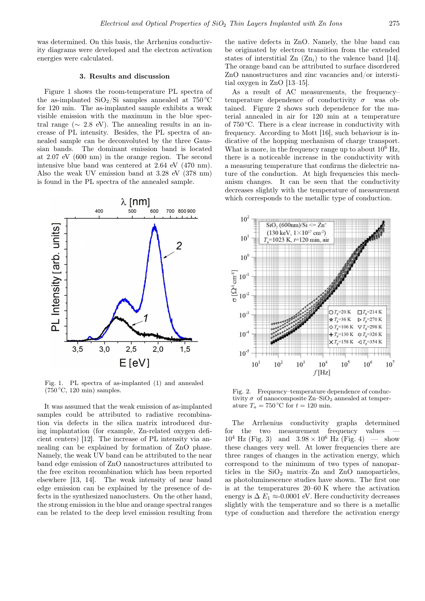was determined. On this basis, the Arrhenius conductivity diagrams were developed and the electron activation energies were calculated.

## 3. Results and discussion

Figure 1 shows the room-temperature PL spectra of the as-implanted  $SiO<sub>2</sub>/Si$  samples annealed at 750 °C for 120 min. The as-implanted sample exhibits a weak visible emission with the maximum in the blue spectral range ( $\sim$  2.8 eV). The annealing results in an increase of PL intensity. Besides, the PL spectra of annealed sample can be deconvoluted by the three Gaussian bands. The dominant emission band is located at 2.07 eV (600 nm) in the orange region. The second intensive blue band was centered at 2.64 eV (470 nm). Also the weak UV emission band at 3.28 eV (378 nm) is found in the PL spectra of the annealed sample.



Fig. 1. PL spectra of as-implanted (1) and annealed  $(750 °C, 120 min)$  samples.

It was assumed that the weak emission of as-implanted samples could be attributed to radiative recombination via defects in the silica matrix introduced during implantation (for example, Zn-related oxygen deficient centers) [12]. The increase of PL intensity via annealing can be explained by formation of ZnO phase. Namely, the weak UV band can be attributed to the near band edge emission of ZnO nanostructures attributed to the free exciton recombination which has been reported elsewhere [13, 14]. The weak intensity of near band edge emission can be explained by the presence of defects in the synthesized nanoclusters. On the other hand, the strong emission in the blue and orange spectral ranges can be related to the deep level emission resulting from

the native defects in ZnO. Namely, the blue band can be originated by electron transition from the extended states of interstitial  $\text{Zn}$  ( $\text{Zn}_i$ ) to the valence band [14]. The orange band can be attributed to surface disordered ZnO nanostructures and zinc vacancies and/or interstitial oxygen in ZnO [13–15].

As a result of AC measurements, the frequency– temperature dependence of conductivity  $\sigma$  was obtained. Figure 2 shows such dependence for the material annealed in air for 120 min at a temperature of  $750^{\circ}$ C. There is a clear increase in conductivity with frequency. According to Mott [16], such behaviour is indicative of the hopping mechanism of charge transport. What is more, in the frequency range up to about  $10^6$  Hz, there is a noticeable increase in the conductivity with a measuring temperature that confirms the dielectric nature of the conduction. At high frequencies this mechanism changes. It can be seen that the conductivity decreases slightly with the temperature of measurement which corresponds to the metallic type of conduction.



Fig. 2. Frequency–temperature dependence of conductivity  $\sigma$  of nanocomposite  $\text{Zn-SiO}_2$  annealed at temperature  $T_a = 750 \degree C$  for  $t = 120$  min.

The Arrhenius conductivity graphs determined for the two measurement frequency values  $10^4$  Hz (Fig. 3) and  $3.98 \times 10^6$  Hz (Fig. 4) — show these changes very well. At lower frequencies there are three ranges of changes in the activation energy, which correspond to the minimum of two types of nanoparticles in the  $SiO<sub>2</sub>$  matrix–Zn and ZnO nanoparticles, as photoluminescence studies have shown. The first one is at the temperatures 20–60 K where the activation energy is  $\Delta E_1 \approx 0.0001$  eV. Here conductivity decreases slightly with the temperature and so there is a metallic type of conduction and therefore the activation energy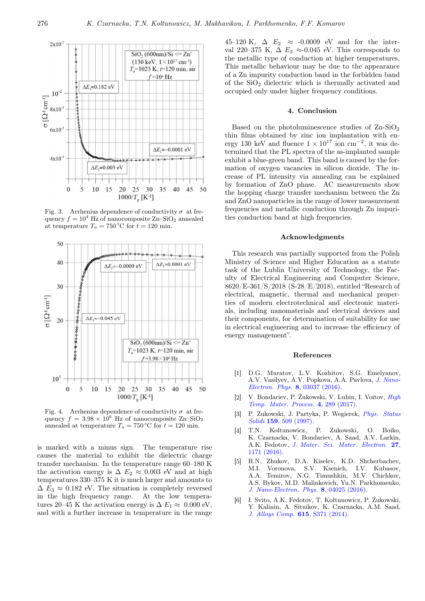

Fig. 3. Arrhenius dependence of conductivity  $\sigma$  at frequency  $f = 10^4$  Hz of nanocomposite Zn–SiO<sub>2</sub> annealed at temperature  $T_a = 750$  °C for  $t = 120$  min.



Fig. 4. Arrhenius dependence of conductivity  $\sigma$  at frequency  $f = 3.98 \times 10^6$  Hz of nanocomposite Zn–SiO<sub>2</sub> annealed at temperature  $T_a = 750 \degree C$  for  $t = 120 \text{ min.}$ 

is marked with a minus sign. The temperature rise causes the material to exhibit the dielectric charge transfer mechanism. In the temperature range 60–180 K the activation energy is  $\Delta E_2 \approx 0.003$  eV and at high temperatures 330–375 K it is much larger and amounts to  $\Delta E_3 \approx 0.182$  eV. The situation is completely reversed in the high frequency range. At the low temperatures 20–45 K the activation energy is  $\Delta E_1 \approx 0.000$  eV, and with a further increase in temperature in the range 45–120 K,  $\Delta E_2 \approx -0.0009$  eV and for the interval 220–375 K,  $\Delta E_3 \approx 0.045$  eV. This corresponds to the metallic type of conduction at higher temperatures. This metallic behaviour may be due to the appearance of a Zn impurity conduction band in the forbidden band of the  $SiO<sub>2</sub>$  dielectric which is thermally activated and occupied only under higher frequency conditions.

#### 4. Conclusion

Based on the photoluminescence studies of  $\text{Zn-SiO}_2$ thin films obtained by zinc ion implantation with energy 130 keV and fluence  $1 \times 10^{17}$  ion cm<sup>-2</sup>, it was determined that the PL spectra of the as-implanted sample exhibit a blue-green band. This band is caused by the formation of oxygen vacancies in silicon dioxide. The increase of PL intensity via annealing can be explained by formation of ZnO phase. AC measurements show the hopping charge transfer mechanism between the Zn and ZnO nanoparticles in the range of lower measurement frequencies and metallic conduction through Zn impurities conduction band at high frequencies.

## Acknowledgments

This research was partially supported from the Polish Ministry of Science and Higher Education as a statute task of the Lublin University of Technology, the Faculty of Electrical Engineering and Computer Science, 8620/E-361/S/2018 (S-28/E/2018), entitled "Research of electrical, magnetic, thermal and mechanical properties of modern electrotechnical and electronic materials, including nanomaterials and electrical devices and their components, for determination of suitability for use in electrical engineering and to increase the efficiency of energy management".

## References

- [1] D.G. Muratov, L.V. Kozhitov, S.G. Emelyanov, A.V. Vasilyev, A.V. Popkova, A.A. Pavlova, [J. Nano-](http://dx.doi.org/10.21272/jnep.8(3).03037)[Electron. Phys.](http://dx.doi.org/10.21272/jnep.8(3).03037) 8, 03037 (2016).
- [2] V. Bondariev, P. Żukowski, V. Luhin, I. Voitov, [High](http://dx.doi.org/10.1615/HighTempMatProc.2018025484) [Temp. Mater. Process.](http://dx.doi.org/10.1615/HighTempMatProc.2018025484) 4, 289 (2017).
- [3] P. Zukowski, J. Partyka, P. Wegierek, [Phys. Status](http://dx.doi.org/10.1002/1521-396X(199702)159:2<509::AID-PSSA509>3.0.CO;2-K) Solidi 159[, 509 \(1997\).](http://dx.doi.org/10.1002/1521-396X(199702)159:2<509::AID-PSSA509>3.0.CO;2-K)
- [4] T.N. Koltunowicz, P. Zukowski, O. Boiko, K. Czarnacka, V. Bondariev, A. Saad, A.V. Larkin, A.K. Fedotov, [J. Mater. Sci. Mater. Electron.](http://dx.doi.org/10.1007/s10854-015-3868-4) 27, [1171 \(2016\).](http://dx.doi.org/10.1007/s10854-015-3868-4)
- [5] R.N. Zhukov, D.A. Kiselev, K.D. Shcherbachev, M.I. Voronova, S.V. Ksenich, I.V. Kubasov, A.A. Temirov, N.G. Timushkin, M.V. Chichkov, A.S. Bykov, M.D. Malinkovich, Yu.N. Parkhomenko, [J. Nano-Electron. Phys.](http://dx.doi.org/10.21272/jnep.8(4(1)).04025) 8, 04025 (2016).
- [6] I. Svito, A.K. Fedotov, T. Kołtunowicz, P. Żukowski, Y. Kalinin, A. Sitnikov, K. Czarnacka, A.M. Saad, [J. Alloys Comp.](http://dx.doi.org/10.1016/j.jallcom.2014.01.136) 615, S371 (2014).